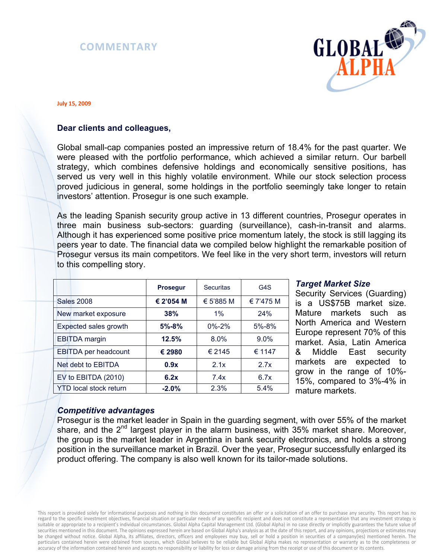



#### **July 15, 2009**

# **Dear clients and colleagues,**

Global small-cap companies posted an impressive return of 18.4% for the past quarter. We were pleased with the portfolio performance, which achieved a similar return. Our barbell strategy, which combines defensive holdings and economically sensitive positions, has served us very well in this highly volatile environment. While our stock selection process proved judicious in general, some holdings in the portfolio seemingly take longer to retain investors' attention. Prosegur is one such example.

As the leading Spanish security group active in 13 different countries, Prosegur operates in three main business sub-sectors: guarding (surveillance), cash-in-transit and alarms. Although it has experienced some positive price momentum lately, the stock is still lagging its peers year to date. The financial data we compiled below highlight the remarkable position of Prosegur versus its main competitors. We feel like in the very short term, investors will return to this compelling story.

|                               | <b>Prosegur</b> | <b>Securitas</b> | G <sub>4</sub> S |
|-------------------------------|-----------------|------------------|------------------|
| <b>Sales 2008</b>             | € 2'054 M       | € 5'885 M        | € 7'475 M        |
| New market exposure           | 38%             | $1\%$            | 24%              |
| Expected sales growth         | $5% - 8%$       | $0\% - 2\%$      | 5%-8%            |
| <b>EBITDA</b> margin          | 12.5%           | 8.0%             | $9.0\%$          |
| <b>EBITDA</b> per headcount   | € 2980          | € 2145           | € 1147           |
| Net debt to EBITDA            | 0.9x            | 2.1x             | 2.7x             |
| EV to EBITDA (2010)           | 6.2x            | 7.4x             | 6.7x             |
| <b>YTD local stock return</b> | $-2.0%$         | 2.3%             | 5.4%             |

### *Target Market Size*

Security Services (Guarding) is a US\$75B market size. Mature markets such as North America and Western Europe represent 70% of this market. Asia, Latin America & Middle East security markets are expected to grow in the range of 10%- 15%, compared to 3%-4% in mature markets.

### *Competitive advantages*

Prosegur is the market leader in Spain in the guarding segment, with over 55% of the market share, and the  $2^{nd}$  largest player in the alarm business, with 35% market share. Moreover, the group is the market leader in Argentina in bank security electronics, and holds a strong position in the surveillance market in Brazil. Over the year, Prosegur successfully enlarged its product offering. The company is also well known for its tailor-made solutions.

This report is provided solely for informational purposes and nothing in this document constitutes an offer or a solicitation of an offer to purchase any security. This report has no regard to the specific investment objectives, financial situation or particular needs of any specific recipient and does not constitute a representation that any investment strategy is suitable or appropriate to a recipient's individual circumstances. Global Alpha Capital Management Ltd. (Global Alpha) in no case directly or implicitly guarantees the future value of securities mentioned in this document. The opinions expressed herein are based on Global Alpha's analysis as at the date of this report, and any opinions, projections or estimates may be changed without notice. Global Alpha, its affiliates, directors, officers and employees may buy, sell or hold a position in securities of a company(ies) mentioned herein. The particulars contained herein were obtained from sources, which Global believes to be reliable but Global Alpha makes no representation or warranty as to the completeness or accuracy of the information contained herein and accepts no responsibility or liability for loss or damage arising from the receipt or use of this document or its contents.